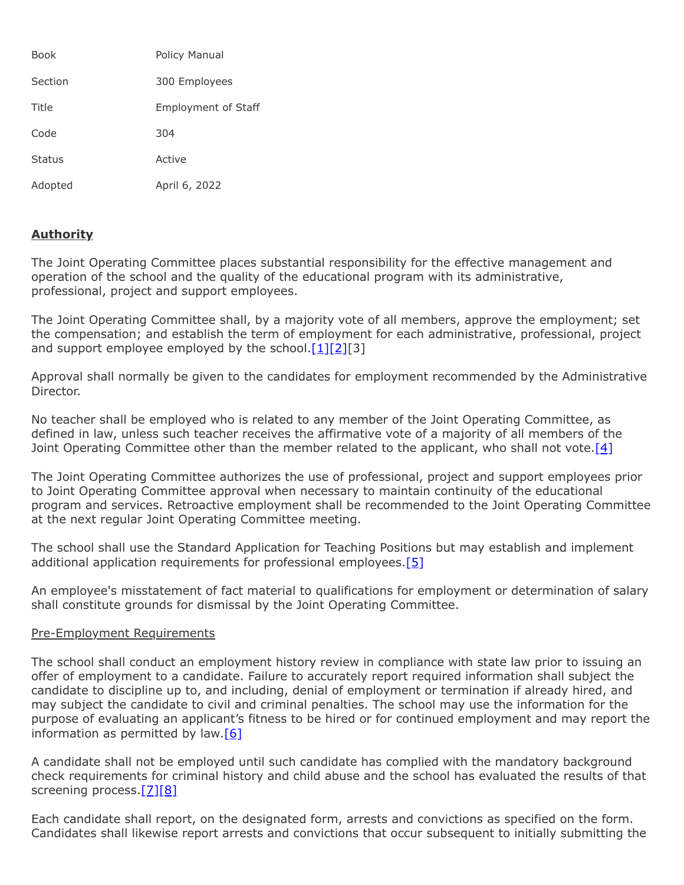| <b>Book</b>   | <b>Policy Manual</b>       |
|---------------|----------------------------|
| Section       | 300 Employees              |
| Title         | <b>Employment of Staff</b> |
| Code          | 304                        |
| <b>Status</b> | Active                     |
| Adopted       | April 6, 2022              |

# **Authority**

The Joint Operating Committee places substantial responsibility for the effective management and operation of the school and the quality of the educational program with its administrative, professional, project and support employees.

The Joint Operating Committee shall, by a majority vote of all members, approve the employment; set the compensation; and establish the term of employment for each administrative, professional, project and support employee employed by the school. $[1][2][3]$  $[1][2][3]$  $[1][2][3]$ 

Approval shall normally be given to the candidates for employment recommended by the Administrative Director.

No teacher shall be employed who is related to any member of the Joint Operating Committee, as defined in law, unless such teacher receives the affirmative vote of a majority of all members of the Joint Operating Committee other than the member related to the applicant, who shall not vote.<sup>[4]</sup>

The Joint Operating Committee authorizes the use of professional, project and support employees prior to Joint Operating Committee approval when necessary to maintain continuity of the educational program and services. Retroactive employment shall be recommended to the Joint Operating Committee at the next regular Joint Operating Committee meeting.

The school shall use the Standard Application for Teaching Positions but may establish and implement additional application requirements for professional employees.<sup>[\[5\]](http://www.legis.state.pa.us/cfdocs/legis/LI/uconsCheck.cfm?txtType=HTM&yr=1949&sessInd=0&smthLwInd=0&act=14&chpt=12&sctn=4&subsctn=1)</sup>

An employee's misstatement of fact material to qualifications for employment or determination of salary shall constitute grounds for dismissal by the Joint Operating Committee.

#### Pre-Employment Requirements

The school shall conduct an employment history review in compliance with state law prior to issuing an offer of employment to a candidate. Failure to accurately report required information shall subject the candidate to discipline up to, and including, denial of employment or termination if already hired, and may subject the candidate to civil and criminal penalties. The school may use the information for the purpose of evaluating an applicant's fitness to be hired or for continued employment and may report the information as permitted by  $\text{law}[6]$  $\text{law}[6]$ 

A candidate shall not be employed until such candidate has complied with the mandatory background check requirements for criminal history and child abuse and the school has evaluated the results of that screening process[.\[7\]](http://www.legis.state.pa.us/cfdocs/legis/LI/uconsCheck.cfm?txtType=HTM&yr=1949&sessInd=0&smthLwInd=0&act=14&chpt=1&sctn=11&subsctn=0)[\[8\]](http://www.legis.state.pa.us/cfdocs/legis/LI/consCheck.cfm?txtType=HTM&ttl=23&div=0&chpt=63&sctn=44&subsctn=0)

Each candidate shall report, on the designated form, arrests and convictions as specified on the form. Candidates shall likewise report arrests and convictions that occur subsequent to initially submitting the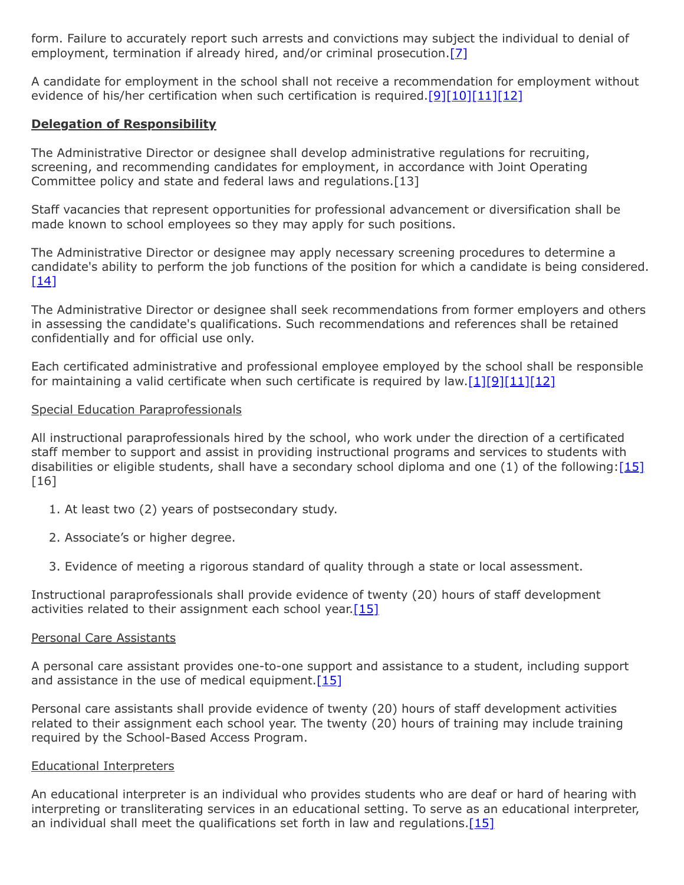form. Failure to accurately report such arrests and convictions may subject the individual to denial of employment, termination if already hired, and/or criminal prosecution.[\[7\]](http://www.legis.state.pa.us/cfdocs/legis/LI/uconsCheck.cfm?txtType=HTM&yr=1949&sessInd=0&smthLwInd=0&act=14&chpt=1&sctn=11&subsctn=0)

A candidate for employment in the school shall not receive a recommendation for employment without evidence of his/her certification when such certification is required.[\[9\]](http://www.legis.state.pa.us/cfdocs/legis/LI/uconsCheck.cfm?txtType=HTM&yr=1949&sessInd=0&smthLwInd=0&act=14&chpt=12&sctn=1&subsctn=0)[\[10\]](http://www.legis.state.pa.us/CFDOCS/LEGIS/LI/uconsCheck.cfm?txtType=HTM&yr=1973&sessInd=0&smthLwInd=0&act=0141.&CFID=256680525&CFTOKEN=13994341)[\[11\]](http://pacodeandbulletin.gov/Display/pacode?file=/secure/pacode/data/022/chapter49/subchapCtoc.html&d=reduce)[\[12\]](http://pacodeandbulletin.gov/Display/pacode?file=/secure/pacode/data/022/chapter339/s339.41.html&d=reduce)

## **Delegation of Responsibility**

The Administrative Director or designee shall develop administrative regulations for recruiting, screening, and recommending candidates for employment, in accordance with Joint Operating Committee policy and state and federal laws and regulations.[13]

Staff vacancies that represent opportunities for professional advancement or diversification shall be made known to school employees so they may apply for such positions.

The Administrative Director or designee may apply necessary screening procedures to determine a candidate's ability to perform the job functions of the position for which a candidate is being considered.  $[14]$ 

The Administrative Director or designee shall seek recommendations from former employers and others in assessing the candidate's qualifications. Such recommendations and references shall be retained confidentially and for official use only.

Each certificated administrative and professional employee employed by the school shall be responsible for maintaining a valid certificate when such certificate is required by law. $[1][9][11][12]$  $[1][9][11][12]$  $[1][9][11][12]$  $[1][9][11][12]$ 

### Special Education Paraprofessionals

All instructional paraprofessionals hired by the school, who work under the direction of a certificated staff member to support and assist in providing instructional programs and services to students with disabilities or eligible students, shall have a secondary school diploma and one (1) of the following: $[15]$ [16]

- 1. At least two (2) years of postsecondary study.
- 2. Associate's or higher degree.
- 3. Evidence of meeting a rigorous standard of quality through a state or local assessment.

Instructional paraprofessionals shall provide evidence of twenty (20) hours of staff development activities related to their assignment each school year. $[15]$ 

## Personal Care Assistants

A personal care assistant provides one-to-one support and assistance to a student, including support and assistance in the use of medical equipment. $[15]$ 

Personal care assistants shall provide evidence of twenty (20) hours of staff development activities related to their assignment each school year. The twenty (20) hours of training may include training required by the School-Based Access Program.

## Educational Interpreters

An educational interpreter is an individual who provides students who are deaf or hard of hearing with interpreting or transliterating services in an educational setting. To serve as an educational interpreter, an individual shall meet the qualifications set forth in law and regulations.[\[15\]](http://pacodeandbulletin.gov/Display/pacode?file=/secure/pacode/data/022/chapter14/s14.105.html&d=reduce)